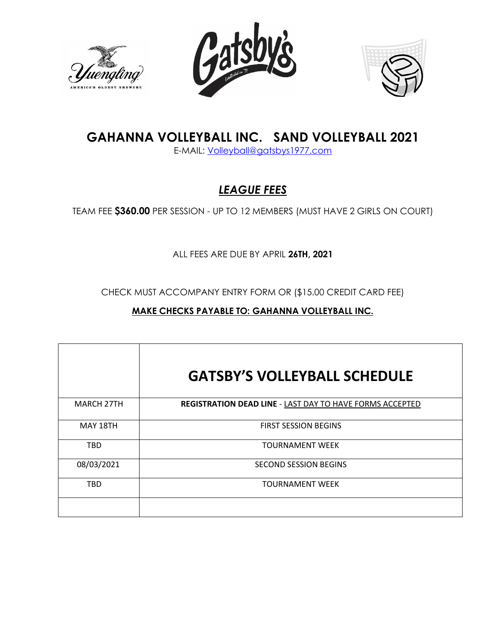





# **GAHANNA VOLLEYBALL INC. SAND VOLLEYBALL 2021**

E-MAIL: [Volleyball@gatsbys1977.com](mailto:Volleyball@gatsbys1977.com) 

## *LEAGUE FEES*

TEAM FEE **\$360.00** PER SESSION - UP TO 12 MEMBERS (MUST HAVE 2 GIRLS ON COURT)

ALL FEES ARE DUE BY APRIL **26TH, 2021**

CHECK MUST ACCOMPANY ENTRY FORM OR (\$15.00 CREDIT CARD FEE)

### **MAKE CHECKS PAYABLE TO: GAHANNA VOLLEYBALL INC.**

|                   | <b>GATSBY'S VOLLEYBALL SCHEDULE</b>                      |
|-------------------|----------------------------------------------------------|
| <b>MARCH 27TH</b> | REGISTRATION DEAD LINE - LAST DAY TO HAVE FORMS ACCEPTED |
| MAY 18TH          | <b>FIRST SESSION BEGINS</b>                              |
| <b>TBD</b>        | TOURNAMENT WEEK                                          |
| 08/03/2021        | SECOND SESSION BEGINS                                    |
| <b>TBD</b>        | <b>TOURNAMENT WEEK</b>                                   |
|                   |                                                          |